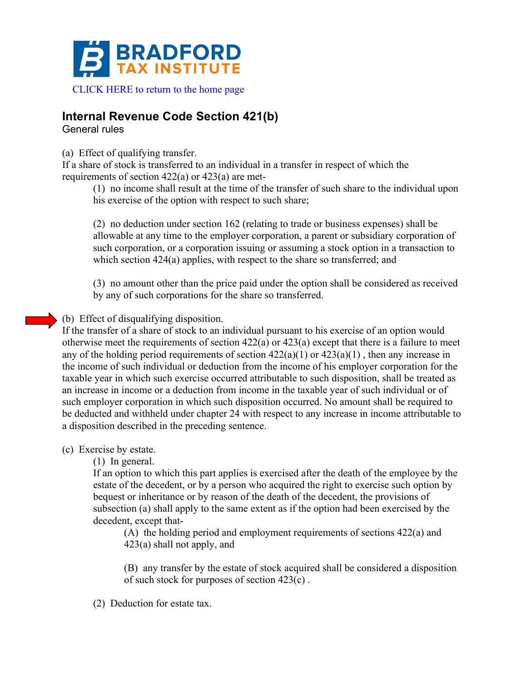

## **Internal Revenue Code Section 421(b)**

General rules

(a) Effect of qualifying transfer.

If a share of stock is transferred to an individual in a transfer in respect of which the requirements of section 422(a) or 423(a) are met-

(1) no income shall result at the time of the transfer of such share to the individual upon his exercise of the option with respect to such share;

(2) no deduction under section 162 (relating to trade or business expenses) shall be allowable at any time to the employer corporation, a parent or subsidiary corporation of such corporation, or a corporation issuing or assuming a stock option in a transaction to which section 424(a) applies, with respect to the share so transferred; and

(3) no amount other than the price paid under the option shall be considered as received by any of such corporations for the share so transferred.

## (b) Effect of disqualifying disposition.

If the transfer of a share of stock to an individual pursuant to his exercise of an option would otherwise meet the requirements of section 422(a) or 423(a) except that there is a failure to meet any of the holding period requirements of section  $422(a)(1)$  or  $423(a)(1)$ , then any increase in the income of such individual or deduction from the income of his employer corporation for the taxable year in which such exercise occurred attributable to such disposition, shall be treated as an increase in income or a deduction from income in the taxable year of such individual or of such employer corporation in which such disposition occurred. No amount shall be required to be deducted and withheld under chapter 24 with respect to any increase in income attributable to a disposition described in the preceding sentence.

## (c) Exercise by estate.

(1) In general.

If an option to which this part applies is exercised after the death of the employee by the estate of the decedent, or by a person who acquired the right to exercise such option by bequest or inheritance or by reason of the death of the decedent, the provisions of subsection (a) shall apply to the same extent as if the option had been exercised by the decedent, except that-

(A) the holding period and employment requirements of sections 422(a) and 423(a) shall not apply, and

(B) any transfer by the estate of stock acquired shall be considered a disposition of such stock for purposes of section 423(c) .

(2) Deduction for estate tax.